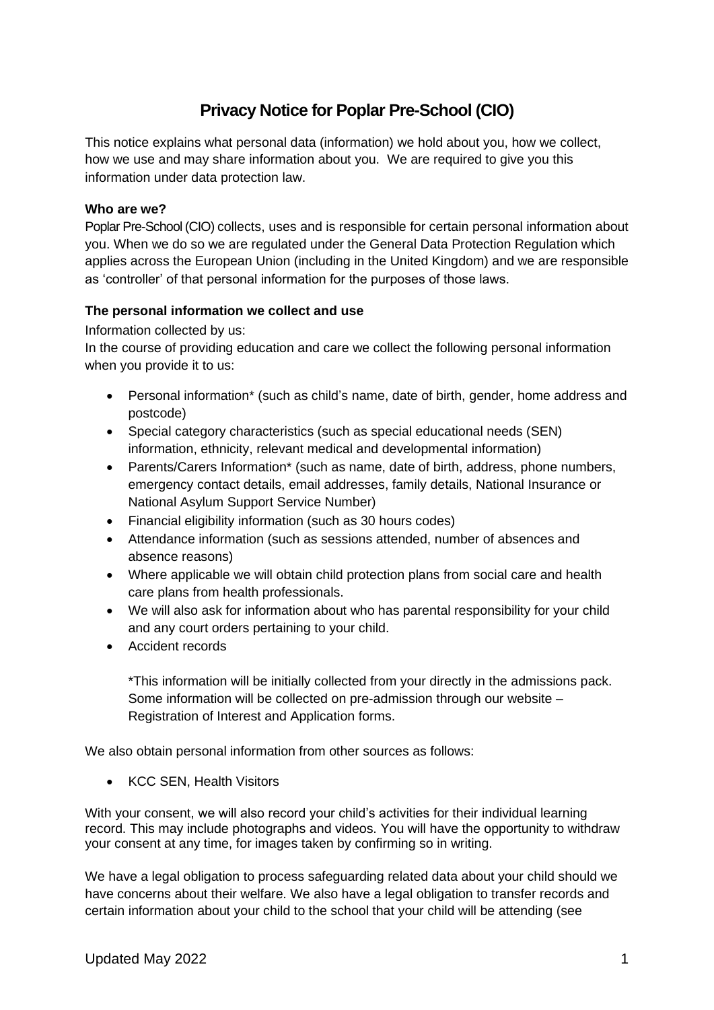# **Privacy Notice for Poplar Pre-School (CIO)**

This notice explains what personal data (information) we hold about you, how we collect, how we use and may share information about you. We are required to give you this information under data protection law.

#### **Who are we?**

Poplar Pre-School (CIO) collects, uses and is responsible for certain personal information about you. When we do so we are regulated under the General Data Protection Regulation which applies across the European Union (including in the United Kingdom) and we are responsible as 'controller' of that personal information for the purposes of those laws.

## **The personal information we collect and use**

Information collected by us:

In the course of providing education and care we collect the following personal information when you provide it to us:

- Personal information\* (such as child's name, date of birth, gender, home address and postcode)
- Special category characteristics (such as special educational needs (SEN) information, ethnicity, relevant medical and developmental information)
- Parents/Carers Information\* (such as name, date of birth, address, phone numbers, emergency contact details, email addresses, family details, National Insurance or National Asylum Support Service Number)
- Financial eligibility information (such as 30 hours codes)
- Attendance information (such as sessions attended, number of absences and absence reasons)
- Where applicable we will obtain child protection plans from social care and health care plans from health professionals.
- We will also ask for information about who has parental responsibility for your child and any court orders pertaining to your child.
- Accident records

\*This information will be initially collected from your directly in the admissions pack. Some information will be collected on pre-admission through our website – Registration of Interest and Application forms.

We also obtain personal information from other sources as follows:

• KCC SEN, Health Visitors

With your consent, we will also record your child's activities for their individual learning record. This may include photographs and videos. You will have the opportunity to withdraw your consent at any time, for images taken by confirming so in writing.

We have a legal obligation to process safeguarding related data about your child should we have concerns about their welfare. We also have a legal obligation to transfer records and certain information about your child to the school that your child will be attending (see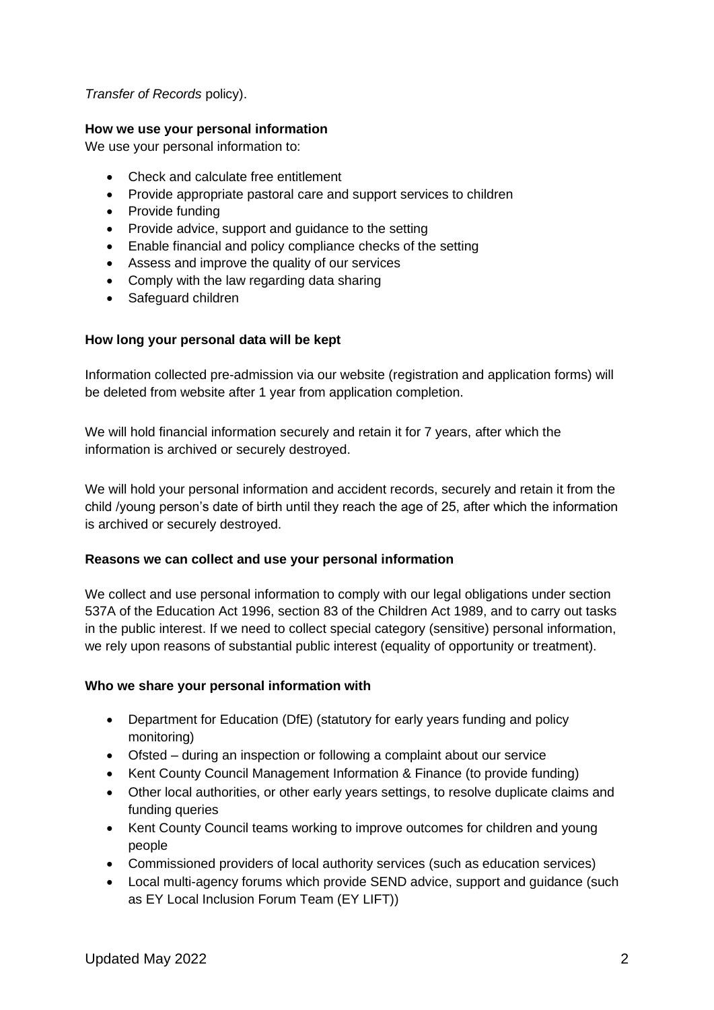## *Transfer of Records* policy).

#### **How we use your personal information**

We use your personal information to:

- Check and calculate free entitlement
- Provide appropriate pastoral care and support services to children
- Provide funding
- Provide advice, support and guidance to the setting
- Enable financial and policy compliance checks of the setting
- Assess and improve the quality of our services
- Comply with the law regarding data sharing
- Safeguard children

## **How long your personal data will be kept**

Information collected pre-admission via our website (registration and application forms) will be deleted from website after 1 year from application completion.

We will hold financial information securely and retain it for 7 years, after which the information is archived or securely destroyed.

We will hold your personal information and accident records, securely and retain it from the child /young person's date of birth until they reach the age of 25, after which the information is archived or securely destroyed.

#### **Reasons we can collect and use your personal information**

We collect and use personal information to comply with our legal obligations under section 537A of the Education Act 1996, section 83 of the Children Act 1989, and to carry out tasks in the public interest. If we need to collect special category (sensitive) personal information, we rely upon reasons of substantial public interest (equality of opportunity or treatment).

#### **Who we share your personal information with**

- Department for Education (DfE) (statutory for early years funding and policy monitoring)
- Ofsted during an inspection or following a complaint about our service
- Kent County Council Management Information & Finance (to provide funding)
- Other local authorities, or other early years settings, to resolve duplicate claims and funding queries
- Kent County Council teams working to improve outcomes for children and young people
- Commissioned providers of local authority services (such as education services)
- Local multi-agency forums which provide SEND advice, support and guidance (such as EY Local Inclusion Forum Team (EY LIFT))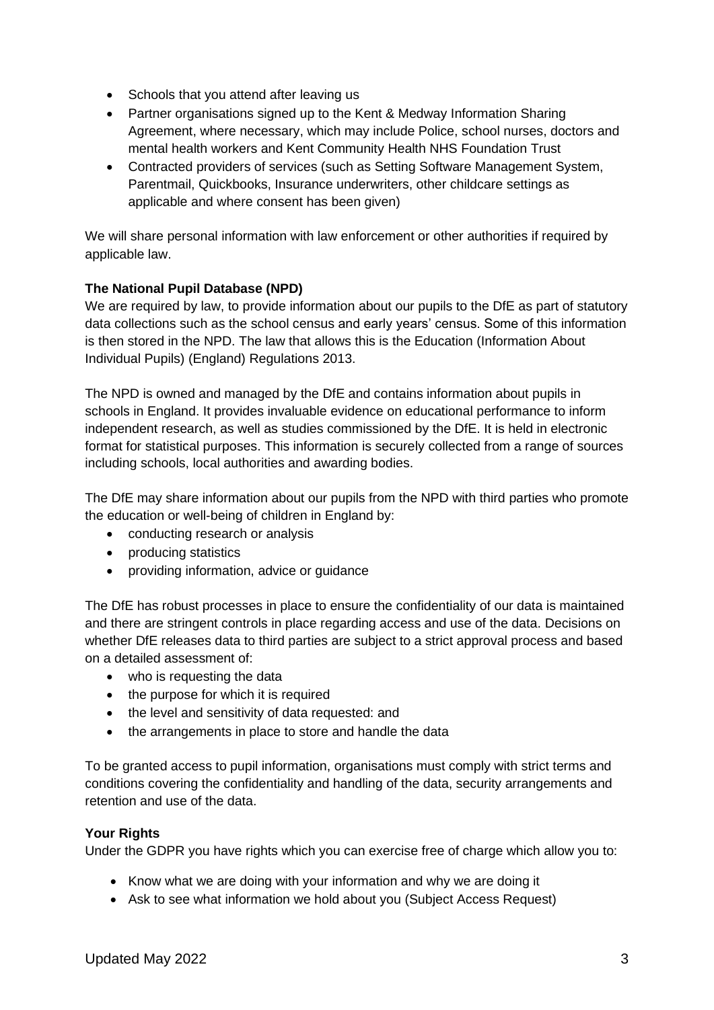- Schools that you attend after leaving us
- Partner organisations signed up to the Kent & Medway Information Sharing Agreement, where necessary, which may include Police, school nurses, doctors and mental health workers and Kent Community Health NHS Foundation Trust
- Contracted providers of services (such as Setting Software Management System, Parentmail, Quickbooks, Insurance underwriters, other childcare settings as applicable and where consent has been given)

We will share personal information with law enforcement or other authorities if required by applicable law.

# **The National Pupil Database (NPD)**

We are required by law, to provide information about our pupils to the DfE as part of statutory data collections such as the school census and early years' census. Some of this information is then stored in the NPD. The law that allows this is the Education (Information About Individual Pupils) (England) Regulations 2013.

The NPD is owned and managed by the DfE and contains information about pupils in schools in England. It provides invaluable evidence on educational performance to inform independent research, as well as studies commissioned by the DfE. It is held in electronic format for statistical purposes. This information is securely collected from a range of sources including schools, local authorities and awarding bodies.

The DfE may share information about our pupils from the NPD with third parties who promote the education or well-being of children in England by:

- conducting research or analysis
- producing statistics
- providing information, advice or guidance

The DfE has robust processes in place to ensure the confidentiality of our data is maintained and there are stringent controls in place regarding access and use of the data. Decisions on whether DfE releases data to third parties are subject to a strict approval process and based on a detailed assessment of:

- who is requesting the data
- the purpose for which it is required
- the level and sensitivity of data requested: and
- the arrangements in place to store and handle the data

To be granted access to pupil information, organisations must comply with strict terms and conditions covering the confidentiality and handling of the data, security arrangements and retention and use of the data.

## **Your Rights**

Under the GDPR you have rights which you can exercise free of charge which allow you to:

- Know what we are doing with your information and why we are doing it
- Ask to see what information we hold about you (Subject Access Request)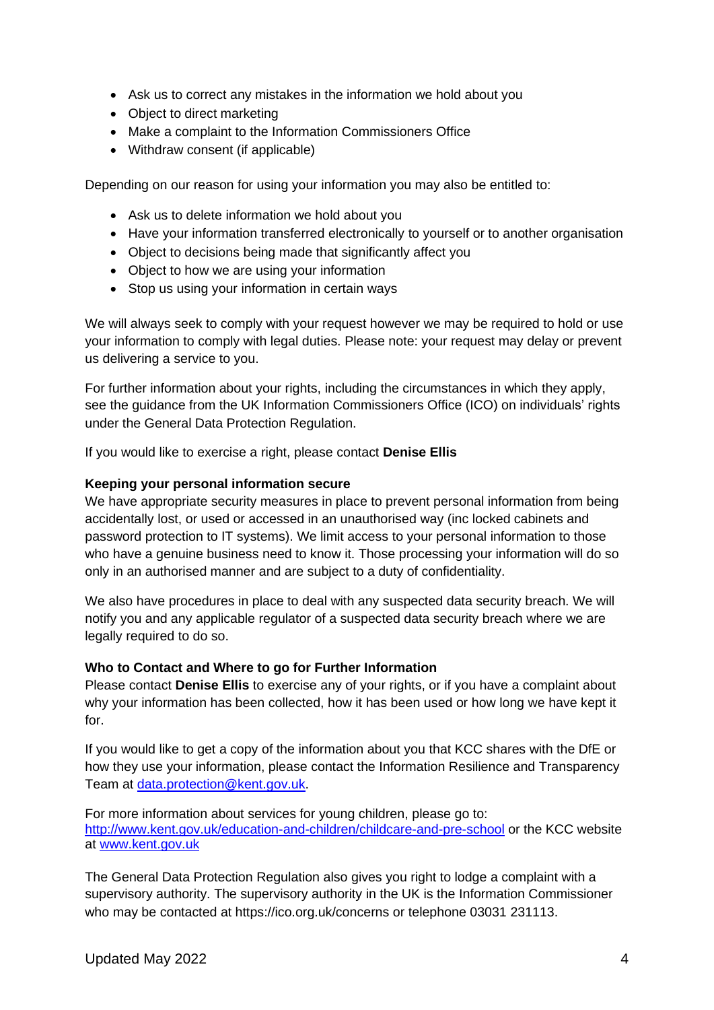- Ask us to correct any mistakes in the information we hold about you
- Object to direct marketing
- Make a complaint to the Information Commissioners Office
- Withdraw consent (if applicable)

Depending on our reason for using your information you may also be entitled to:

- Ask us to delete information we hold about you
- Have your information transferred electronically to yourself or to another organisation
- Object to decisions being made that significantly affect you
- Object to how we are using your information
- Stop us using your information in certain ways

We will always seek to comply with your request however we may be required to hold or use your information to comply with legal duties. Please note: your request may delay or prevent us delivering a service to you.

For further information about your rights, including the circumstances in which they apply, see the guidance from the UK Information Commissioners Office (ICO) on individuals' rights under the General Data Protection Regulation.

If you would like to exercise a right, please contact **Denise Ellis**

#### **Keeping your personal information secure**

We have appropriate security measures in place to prevent personal information from being accidentally lost, or used or accessed in an unauthorised way (inc locked cabinets and password protection to IT systems). We limit access to your personal information to those who have a genuine business need to know it. Those processing your information will do so only in an authorised manner and are subject to a duty of confidentiality.

We also have procedures in place to deal with any suspected data security breach. We will notify you and any applicable regulator of a suspected data security breach where we are legally required to do so.

#### **Who to Contact and Where to go for Further Information**

Please contact **Denise Ellis** to exercise any of your rights, or if you have a complaint about why your information has been collected, how it has been used or how long we have kept it for.

If you would like to get a copy of the information about you that KCC shares with the DfE or how they use your information, please contact the Information Resilience and Transparency Team at [data.protection@kent.gov.uk.](mailto:data.protection@kent.gov.uk)

For more information about services for young children, please go to: <http://www.kent.gov.uk/education-and-children/childcare-and-pre-school> or the KCC website at [www.kent.gov.uk](http://www.kent.gov.uk/)

The General Data Protection Regulation also gives you right to lodge a complaint with a supervisory authority. The supervisory authority in the UK is the Information Commissioner who may be contacted at https://ico.org.uk/concerns or telephone 03031 231113.